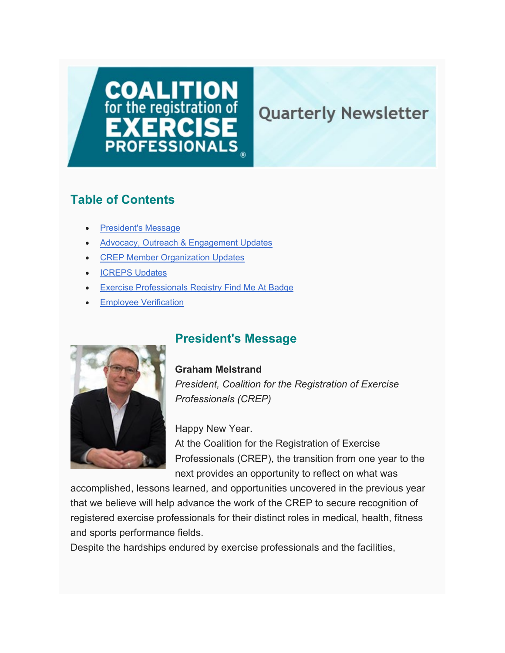# **COALITIO PROFESSIONALS**

# **Quarterly Newsletter**

## **Table of Contents**

- [President's Message](https://us20.admin.mailchimp.com/campaigns/preview-content-html?id=14809840#President)
- [Advocacy, Outreach & Engagement Updates](https://us20.admin.mailchimp.com/campaigns/preview-content-html?id=14809840#Advocacy)
- [CREP Member Organization Updates](https://us20.admin.mailchimp.com/campaigns/preview-content-html?id=14809840#Member)
- **[ICREPS Updates](https://us20.admin.mailchimp.com/campaigns/preview-content-html?id=14809840#ICREPS)**
- [Exercise Professionals Registry Find Me At Badge](https://us20.admin.mailchimp.com/campaigns/preview-content-html?id=14809840#Badge)
- **Employee [Verification](https://us20.admin.mailchimp.com/campaigns/preview-content-html?id=14809840#Employer)**



# **President's Message**

#### **Graham Melstrand**

*President, Coalition for the Registration of Exercise Professionals (CREP)*

Happy New Year.

At the Coalition for the Registration of Exercise Professionals (CREP), the transition from one year to the next provides an opportunity to reflect on what was

accomplished, lessons learned, and opportunities uncovered in the previous year that we believe will help advance the work of the CREP to secure recognition of registered exercise professionals for their distinct roles in medical, health, fitness and sports performance fields.

Despite the hardships endured by exercise professionals and the facilities,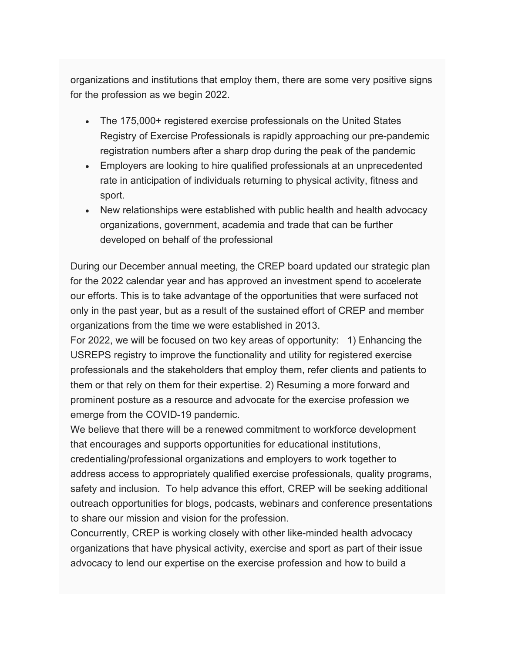organizations and institutions that employ them, there are some very positive signs for the profession as we begin 2022.

- The 175,000+ registered exercise professionals on the United States Registry of Exercise Professionals is rapidly approaching our pre-pandemic registration numbers after a sharp drop during the peak of the pandemic
- Employers are looking to hire qualified professionals at an unprecedented rate in anticipation of individuals returning to physical activity, fitness and sport.
- New relationships were established with public health and health advocacy organizations, government, academia and trade that can be further developed on behalf of the professional

During our December annual meeting, the CREP board updated our strategic plan for the 2022 calendar year and has approved an investment spend to accelerate our efforts. This is to take advantage of the opportunities that were surfaced not only in the past year, but as a result of the sustained effort of CREP and member organizations from the time we were established in 2013.

For 2022, we will be focused on two key areas of opportunity: 1) Enhancing the USREPS registry to improve the functionality and utility for registered exercise professionals and the stakeholders that employ them, refer clients and patients to them or that rely on them for their expertise. 2) Resuming a more forward and prominent posture as a resource and advocate for the exercise profession we emerge from the COVID-19 pandemic.

We believe that there will be a renewed commitment to workforce development that encourages and supports opportunities for educational institutions,

credentialing/professional organizations and employers to work together to address access to appropriately qualified exercise professionals, quality programs, safety and inclusion. To help advance this effort, CREP will be seeking additional outreach opportunities for blogs, podcasts, webinars and conference presentations to share our mission and vision for the profession.

Concurrently, CREP is working closely with other like-minded health advocacy organizations that have physical activity, exercise and sport as part of their issue advocacy to lend our expertise on the exercise profession and how to build a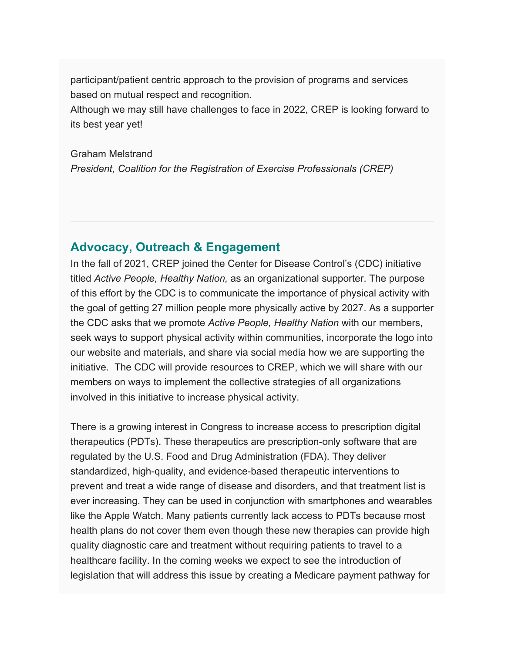participant/patient centric approach to the provision of programs and services based on mutual respect and recognition.

Although we may still have challenges to face in 2022, CREP is looking forward to its best year yet!

Graham Melstrand *President, Coalition for the Registration of Exercise Professionals (CREP)*

#### **Advocacy, Outreach & Engagement**

In the fall of 2021, CREP joined the Center for Disease Control's (CDC) initiative titled *Active People, Healthy Nation,* as an organizational supporter. The purpose of this effort by the CDC is to communicate the importance of physical activity with the goal of getting 27 million people more physically active by 2027. As a supporter the CDC asks that we promote *Active People, Healthy Nation* with our members, seek ways to support physical activity within communities, incorporate the logo into our website and materials, and share via social media how we are supporting the initiative. The CDC will provide resources to CREP, which we will share with our members on ways to implement the collective strategies of all organizations involved in this initiative to increase physical activity.

There is a growing interest in Congress to increase access to prescription digital therapeutics (PDTs). These therapeutics are prescription-only software that are regulated by the U.S. Food and Drug Administration (FDA). They deliver standardized, high-quality, and evidence-based therapeutic interventions to prevent and treat a wide range of disease and disorders, and that treatment list is ever increasing. They can be used in conjunction with smartphones and wearables like the Apple Watch. Many patients currently lack access to PDTs because most health plans do not cover them even though these new therapies can provide high quality diagnostic care and treatment without requiring patients to travel to a healthcare facility. In the coming weeks we expect to see the introduction of legislation that will address this issue by creating a Medicare payment pathway for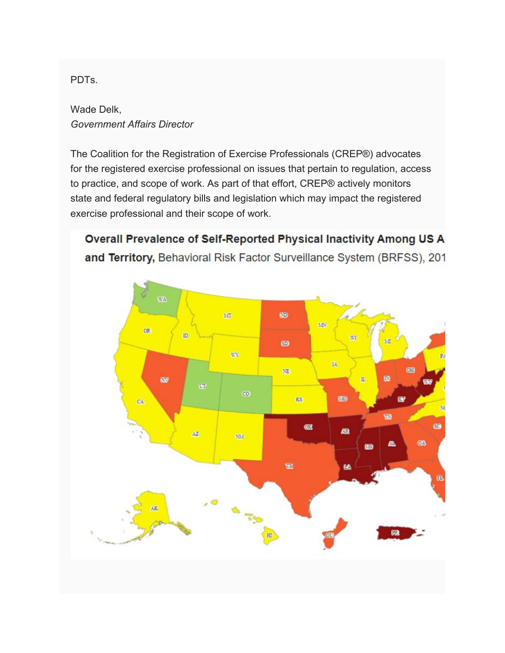PDTs.

Wade Delk, *Government Affairs Director*

The Coalition for the Registration of Exercise Professionals (CREP®) advocates for the registered exercise professional on issues that pertain to regulation, access to practice, and scope of work. As part of that effort, CREP® actively monitors state and federal regulatory bills and legislation which may impact the registered exercise professional and their scope of work.

Overall Prevalence of Self-Reported Physical Inactivity Among US A and Territory, Behavioral Risk Factor Surveillance System (BRFSS), 201

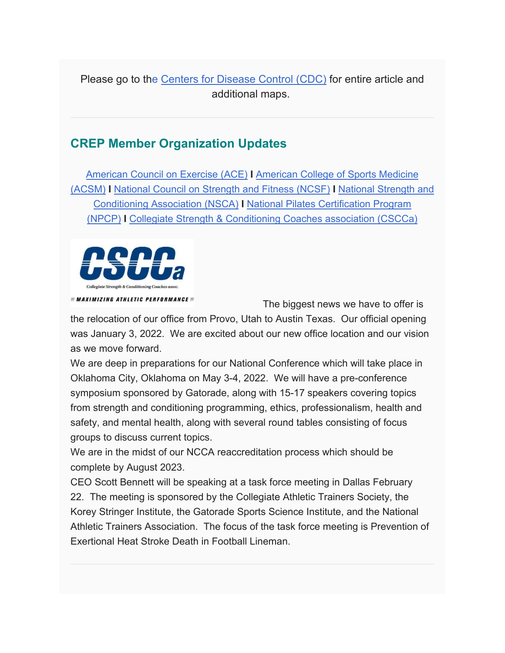Please go to the [Centers for Disease Control \(CDC\)](https://www.cdc.gov/physicalactivity/index.html) for entire article and additional maps.

#### **CREP Member Organization Updates**

[American Council on Exercise \(ACE\)](http://www.acefitness.org/) **I** [American College of Sports Medicine](http://www.acsm.org/)  [\(ACSM\)](http://www.acsm.org/) **I** [National Council on Strength and Fitness \(NCSF\)](http://www.ncsf.org/governance/usreps/about-us.aspx) **I** [National Strength and](http://www.nsca.com/Home/)  [Conditioning Association \(NSCA\)](http://www.nsca.com/Home/) **I** [National Pilates Certification Program](http://www.natpcp.org/)  [\(NPCP\)](http://www.natpcp.org/) **I** [Collegiate Strength & Conditioning Coaches association \(CSCCa\)](https://www.cscca.org/)



 $\equiv$  Maximizing athletic performance  $\equiv$ The biggest news we have to offer is the relocation of our office from Provo, Utah to Austin Texas. Our official opening was January 3, 2022. We are excited about our new office location and our vision as we move forward.

We are deep in preparations for our National Conference which will take place in Oklahoma City, Oklahoma on May 3-4, 2022. We will have a pre-conference symposium sponsored by Gatorade, along with 15-17 speakers covering topics from strength and conditioning programming, ethics, professionalism, health and safety, and mental health, along with several round tables consisting of focus groups to discuss current topics.

We are in the midst of our NCCA reaccreditation process which should be complete by August 2023.

CEO Scott Bennett will be speaking at a task force meeting in Dallas February 22. The meeting is sponsored by the Collegiate Athletic Trainers Society, the Korey Stringer Institute, the Gatorade Sports Science Institute, and the National Athletic Trainers Association. The focus of the task force meeting is Prevention of Exertional Heat Stroke Death in Football Lineman.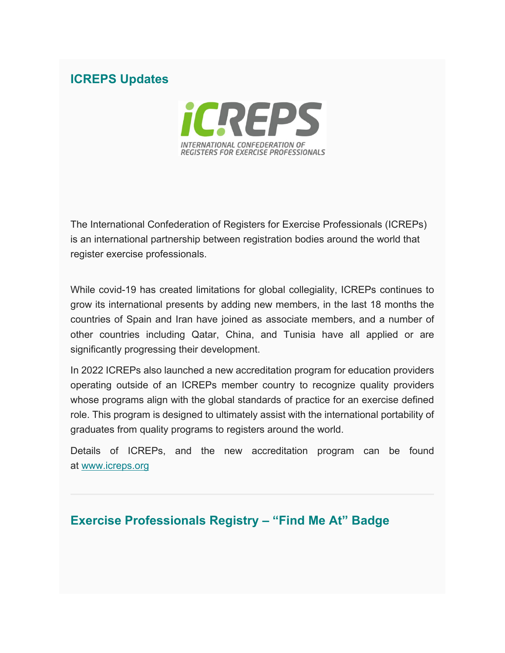#### **ICREPS Updates**



The International Confederation of Registers for Exercise Professionals (ICREPs) is an international partnership between registration bodies around the world that register exercise professionals.

While covid-19 has created limitations for global collegiality, ICREPs continues to grow its international presents by adding new members, in the last 18 months the countries of Spain and Iran have joined as associate members, and a number of other countries including Qatar, China, and Tunisia have all applied or are significantly progressing their development.

In 2022 ICREPs also launched a new accreditation program for education providers operating outside of an ICREPs member country to recognize quality providers whose programs align with the global standards of practice for an exercise defined role. This program is designed to ultimately assist with the international portability of graduates from quality programs to registers around the world.

Details of ICREPs, and the new accreditation program can be found at [www.icreps.org](https://protect-us.mimecast.com/s/6Ns8Cqx939U8GpKoiXHz5W?domain=icreps.org/)

#### **Exercise Professionals Registry – "Find Me At" Badge**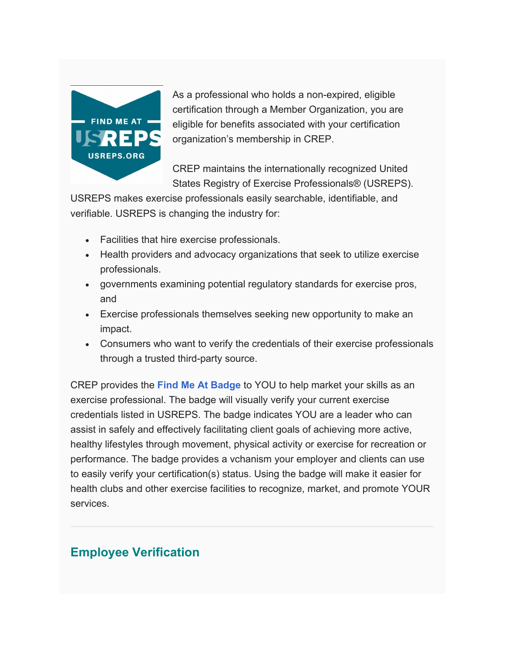

As a professional who holds a non-expired, eligible certification through a Member Organization, you are eligible for benefits associated with your certification organization's membership in CREP.

CREP maintains the internationally recognized United States Registry of Exercise Professionals® (USREPS).

USREPS makes exercise professionals easily searchable, identifiable, and verifiable. USREPS is changing the industry for:

- Facilities that hire exercise professionals.
- Health providers and advocacy organizations that seek to utilize exercise professionals.
- governments examining potential regulatory standards for exercise pros, and
- Exercise professionals themselves seeking new opportunity to make an impact.
- Consumers who want to verify the credentials of their exercise professionals through a trusted third-party source.

CREP provides the **[Find Me At Badge](http://www.usreps.org/Pages/crepbadgeintroduction.aspx)** to YOU to help market your skills as an exercise professional. The badge will visually verify your current exercise credentials listed in USREPS. The badge indicates YOU are a leader who can assist in safely and effectively facilitating client goals of achieving more active, healthy lifestyles through movement, physical activity or exercise for recreation or performance. The badge provides a vchanism your employer and clients can use to easily verify your certification(s) status. Using the badge will make it easier for health clubs and other exercise facilities to recognize, market, and promote YOUR services.

## **Employee Verification**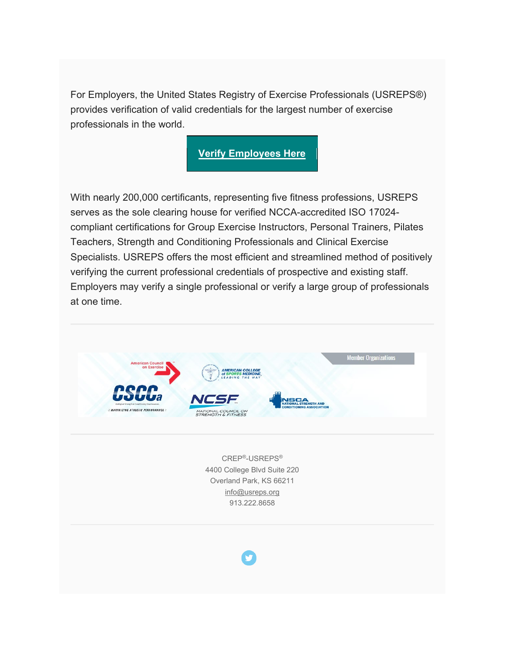For Employers, the United States Registry of Exercise Professionals (USREPS®) provides verification of valid credentials for the largest number of exercise professionals in the world.

#### **[Verify Employees Here](https://customer.usreps.org/Shared_Content/Sign_In_Employer.aspx?WebsiteKey=4d2e7ff2-6879-4a34-8001-3ac76bc7a754&hkey=4461e9d7-4b10-4803-aca8-5f9a34496c7b&returnurl=%2fUSREPSWcm%2fEmployer_Verification%2fUSREPSWcm%2fEmployer_Verification.aspx)**

With nearly 200,000 certificants, representing five fitness professions, USREPS serves as the sole clearing house for verified NCCA-accredited ISO 17024 compliant certifications for Group Exercise Instructors, Personal Trainers, Pilates Teachers, Strength and Conditioning Professionals and Clinical Exercise Specialists. USREPS offers the most efficient and streamlined method of positively verifying the current professional credentials of prospective and existing staff. Employers may verify a single professional or verify a large group of professionals at one time.

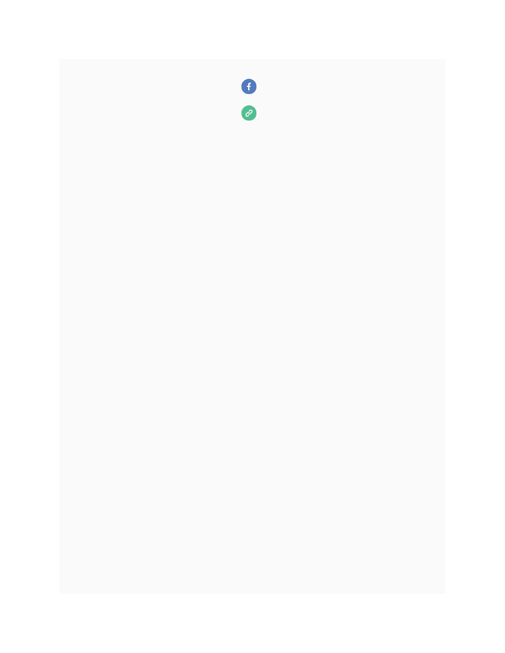